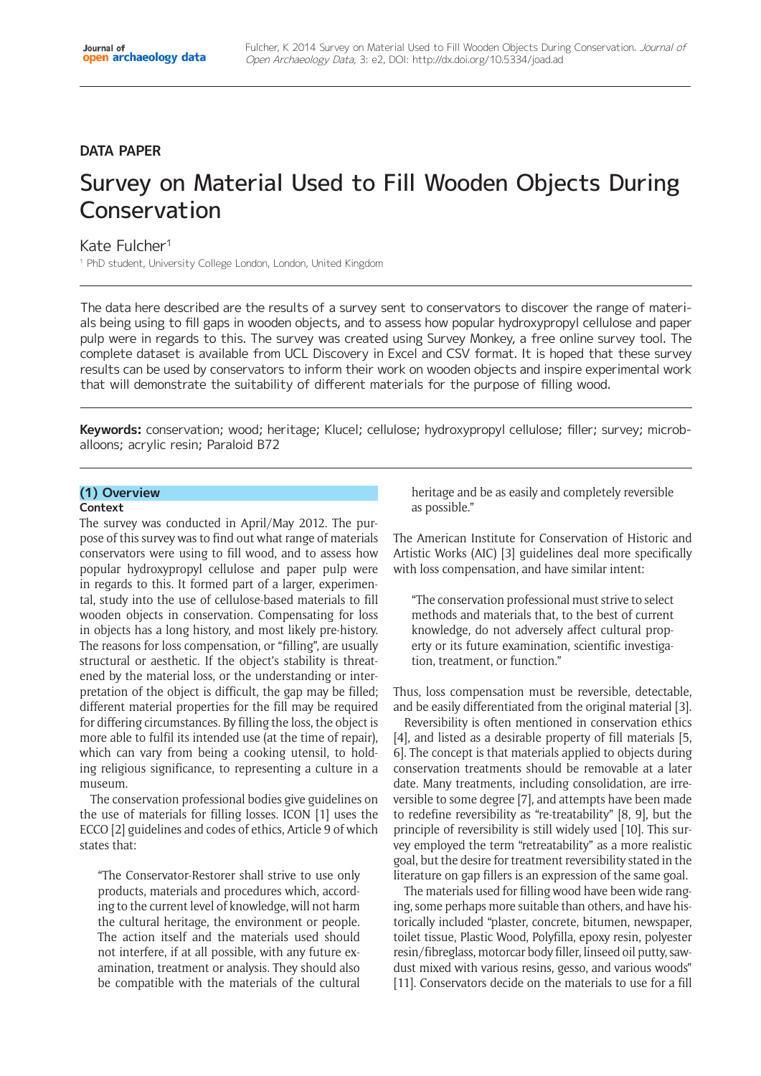# **DATA PAPER**

# Survey on Material Used to Fill Wooden Objects During Conservation

# Kate Fulcher1

<sup>1</sup> PhD student, University College London, London, United Kingdom

The data here described are the results of a survey sent to conservators to discover the range of materials being using to fill gaps in wooden objects, and to assess how popular hydroxypropyl cellulose and paper pulp were in regards to this. The survey was created using Survey Monkey, a free online survey tool. The complete dataset is available from UCL Discovery in Excel and CSV format. It is hoped that these survey results can be used by conservators to inform their work on wooden objects and inspire experimental work that will demonstrate the suitability of different materials for the purpose of filling wood.

**Keywords:** conservation; wood; heritage; Klucel; cellulose; hydroxypropyl cellulose; filler; survey; microballoons; acrylic resin; Paraloid B72

# **(1) Overview**

#### **Context**

The survey was conducted in April/May 2012. The purpose of this survey was to find out what range of materials conservators were using to fill wood, and to assess how popular hydroxypropyl cellulose and paper pulp were in regards to this. It formed part of a larger, experimental, study into the use of cellulose-based materials to fill wooden objects in conservation. Compensating for loss in objects has a long history, and most likely pre-history. The reasons for loss compensation, or "filling", are usually structural or aesthetic. If the object's stability is threatened by the material loss, or the understanding or interpretation of the object is difficult, the gap may be filled; different material properties for the fill may be required for differing circumstances. By filling the loss, the object is more able to fulfil its intended use (at the time of repair), which can vary from being a cooking utensil, to holding religious significance, to representing a culture in a museum.

The conservation professional bodies give guidelines on the use of materials for filling losses. ICON [1] uses the ECCO [2] guidelines and codes of ethics, Article 9 of which states that:

"The Conservator-Restorer shall strive to use only products, materials and procedures which, according to the current level of knowledge, will not harm the cultural heritage, the environment or people. The action itself and the materials used should not interfere, if at all possible, with any future examination, treatment or analysis. They should also be compatible with the materials of the cultural

heritage and be as easily and completely reversible as possible."

The American Institute for Conservation of Historic and Artistic Works (AIC) [3] guidelines deal more specifically with loss compensation, and have similar intent:

"The conservation professional must strive to select methods and materials that, to the best of current knowledge, do not adversely affect cultural property or its future examination, scientific investigation, treatment, or function."

Thus, loss compensation must be reversible, detectable, and be easily differentiated from the original material [3].

Reversibility is often mentioned in conservation ethics [4], and listed as a desirable property of fill materials [5, 6]. The concept is that materials applied to objects during conservation treatments should be removable at a later date. Many treatments, including consolidation, are irreversible to some degree [7], and attempts have been made to redefine reversibility as "re-treatability" [8, 9], but the principle of reversibility is still widely used [10]. This survey employed the term "retreatability" as a more realistic goal, but the desire for treatment reversibility stated in the literature on gap fillers is an expression of the same goal.

The materials used for filling wood have been wide ranging, some perhaps more suitable than others, and have historically included "plaster, concrete, bitumen, newspaper, toilet tissue, Plastic Wood, Polyfilla, epoxy resin, polyester resin/fibreglass, motorcar body filler, linseed oil putty, sawdust mixed with various resins, gesso, and various woods" [11]. Conservators decide on the materials to use for a fill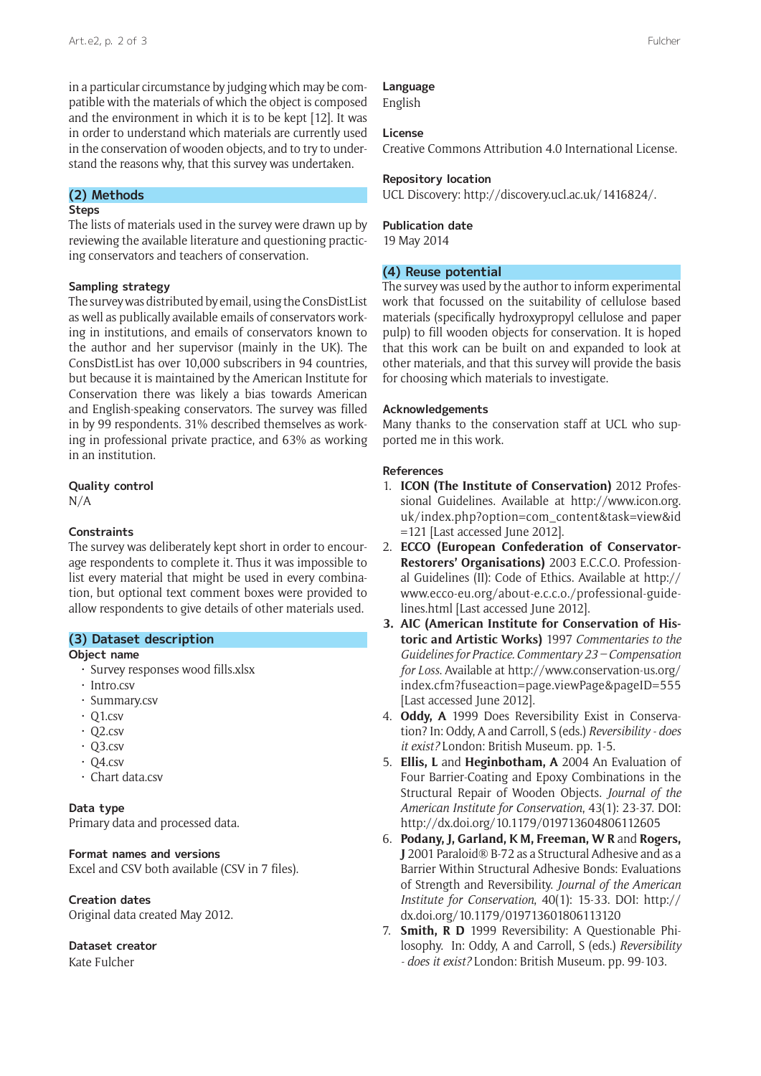in a particular circumstance by judging which may be compatible with the materials of which the object is composed and the environment in which it is to be kept [12]. It was in order to understand which materials are currently used in the conservation of wooden objects, and to try to understand the reasons why, that this survey was undertaken.

# **(2) Methods**

## **Steps**

The lists of materials used in the survey were drawn up by reviewing the available literature and questioning practicing conservators and teachers of conservation.

# **Sampling strategy**

The survey was distributed by email, using the ConsDistList as well as publically available emails of conservators working in institutions, and emails of conservators known to the author and her supervisor (mainly in the UK). The ConsDistList has over 10,000 subscribers in 94 countries, but because it is maintained by the American Institute for Conservation there was likely a bias towards American and English-speaking conservators. The survey was filled in by 99 respondents. 31% described themselves as working in professional private practice, and 63% as working in an institution.

#### **Quality control**

N/A

# **Constraints**

The survey was deliberately kept short in order to encourage respondents to complete it. Thus it was impossible to list every material that might be used in every combination, but optional text comment boxes were provided to allow respondents to give details of other materials used.

# **(3) Dataset description**

# **Object name**

- Survey responses wood fills.xlsx
- • Intro.csv
- • Summary.csv
- $\cdot$  Q1.csv
- $\cdot$  Q2.csv
- $\cdot$  Q3.csv
- $\cdot$  Q4.csv
- • Chart data.csv

# **Data type**

Primary data and processed data.

# **Format names and versions**

Excel and CSV both available (CSV in 7 files).

## **Creation dates**

Original data created May 2012.

# **Dataset creator**

Kate Fulcher

# **Language** English

#### **License**

Creative Commons Attribution 4.0 International License.

#### **Repository location**

UCL Discovery: [http://discovery.ucl.ac.uk/1416824/.](http://discovery.ucl.ac.uk/1416824/)

#### **Publication date**

19 May 2014

# **(4) Reuse potential**

The survey was used by the author to inform experimental work that focussed on the suitability of cellulose based materials (specifically hydroxypropyl cellulose and paper pulp) to fill wooden objects for conservation. It is hoped that this work can be built on and expanded to look at other materials, and that this survey will provide the basis for choosing which materials to investigate.

#### **Acknowledgements**

Many thanks to the conservation staff at UCL who supported me in this work.

# **References**

- 1. **ICON (The Institute of Conservation)** 2012 Professional Guidelines. Available at [http://www.icon.org.](http://www.icon.org.uk/index.php?option=com_content&task=view&id=121) [uk/index.php?option=com\\_content&task=view&id](http://www.icon.org.uk/index.php?option=com_content&task=view&id=121) [=121](http://www.icon.org.uk/index.php?option=com_content&task=view&id=121) [Last accessed June 2012].
- 2. **ECCO (European Confederation of Conservator-Restorers' Organisations)** 2003 E.C.C.O. Professional Guidelines (II): Code of Ethics. Available at [http://](http://www.ecco-eu.org/about-e.c.c.o./professional-guidelines.html) [www.ecco-eu.org/about-e.c.c.o./professional-guide](http://www.ecco-eu.org/about-e.c.c.o./professional-guidelines.html)[lines.html](http://www.ecco-eu.org/about-e.c.c.o./professional-guidelines.html) [Last accessed June 2012].
- **3. AIC (American Institute for Conservation of Historic and Artistic Works)** 1997 *Commentaries to the Guidelines for Practice. Commentary 23 – Compensation for Loss*. Available at [http://www.conservation-us.org/](http://www.conservation-us.org/index.cfm?fuseaction=page.viewPage&pageID=555) [index.cfm?fuseaction=page.viewPage&pageID=555](http://www.conservation-us.org/index.cfm?fuseaction=page.viewPage&pageID=555) [Last accessed June 2012].
- 4. **Oddy, A** 1999 Does Reversibility Exist in Conservation? In: Oddy, A and Carroll, S (eds.) *Reversibility - does it exist?* London: British Museum. pp. 1-5.
- 5. **Ellis, L** and **Heginbotham, A** 2004 An Evaluation of Four Barrier-Coating and Epoxy Combinations in the Structural Repair of Wooden Objects. *Journal of the American Institute for Conservation*, 43(1): 23-37. DOI: <http://dx.doi.org/10.1179/019713604806112605>
- 6. **Podany, J, Garland, K M, Freeman, W R** and **Rogers, J** 2001 Paraloid® B-72 as a Structural Adhesive and as a Barrier Within Structural Adhesive Bonds: Evaluations of Strength and Reversibility. *Journal of the American Institute for Conservation*, 40(1): 15-33. DOI: [http://](http://dx.doi.org/10.1179/019713601806113120) [dx.doi.org/10.1179/019713601806113120](http://dx.doi.org/10.1179/019713601806113120)
- 7. **Smith, R D** 1999 Reversibility: A Questionable Philosophy. In: Oddy, A and Carroll, S (eds.) *Reversibility - does it exist?* London: British Museum. pp. 99-103.